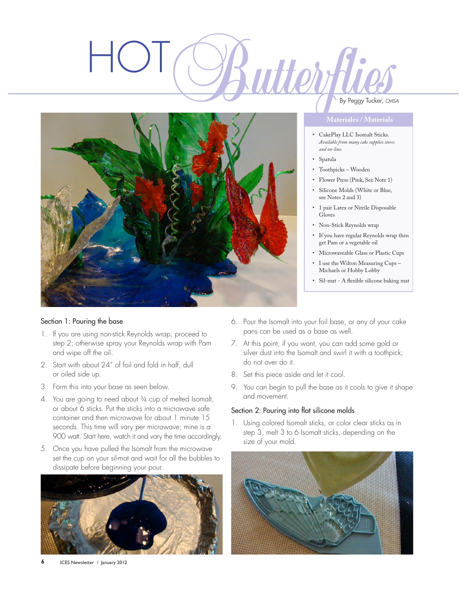# HOT



### Section 1: Pouring the base

- 1. If you are using non-stick Reynolds wrap, proceed to step 2; otherwise spray your Reynolds wrap with Pam and wipe off the oil.
- 2. Start with about 24" of foil and fold in half, dull or oiled side up.
- 3. Form this into your base as seen below.
- 4. You are going to need about <sup>3</sup>/4 cup of melted Isomalt, or about 6 sticks. Put the sticks into a microwave safe container and then microwave for about 1 minute 15 seconds. This time will vary per microwave; mine is a 900 watt. Start here, watch it and vary the time accordingly.
- 5. Once you have pulled the Isomalt from the microwave set the cup on your sil-mat and wait for all the bubbles to dissipate before beginning your pour.



- 6. Pour the Isomalt into your foil base, or any of your cake pans can be used as a base as well.
- 7. At this point, if you want, you can add some gold or silver dust into the Isomalt and swirl it with a toothpick; do not over do it.
- 8. Set this piece aside and let it cool.
- 9. You can begin to pull the base as it cools to give it shape and movement.

### Section 2: Pouring into flat silicone molds

1. Using colored Isomalt sticks, or color clear sticks as in step 3, melt 3 to 6 Isomalt sticks, depending on the size of your mold.



# By Peggy Tucker, *CMSA*

- • CakePlay LLC Isomalt Sticks. *Available from many cake supplies stores and on-line.*
- • Spatula
- • Toothpicks Wooden
- • Flower Press (Pink, See Note 1)
- • Silicone Molds (White or Blue, see Notes 2 and 3)
- • 1 pair Latex or Nitrile Disposable Gloves
- • Non-Stick Reynolds wrap
- • If you have regular Reynolds wrap then get Pam or a vegetable oil
- • Microwaveable Glass or Plastic Cups
- I use the Wilton Measuring Cups -Michaels or Hobby Lobby
- • Sil-mat A flexible silicone baking mat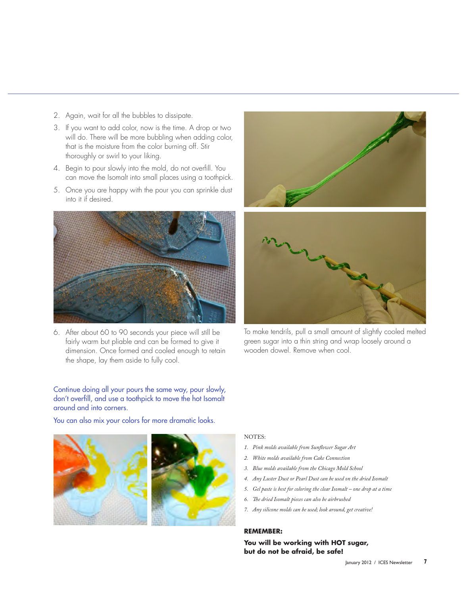- 2. Again, wait for all the bubbles to dissipate.
- 3. If you want to add color, now is the time. A drop or two will do. There will be more bubbling when adding color, that is the moisture from the color burning off. Stir thoroughly or swirl to your liking.
- 4. Begin to pour slowly into the mold, do not overfill. You can move the Isomalt into small places using a toothpick.
- 5. Once you are happy with the pour you can sprinkle dust into it if desired.



6. After about 60 to 90 seconds your piece will still be fairly warm but pliable and can be formed to give it dimension. Once formed and cooled enough to retain the shape, lay them aside to fully cool.





To make tendrils, pull a small amount of slightly cooled melted green sugar into a thin string and wrap loosely around a wooden dowel. Remove when cool.

Continue doing all your pours the same way, pour slowly, don't overfill, and use a toothpick to move the hot Isomalt around and into corners.

You can also mix your colors for more dramatic looks.



### NOTES:

- *1. Pink molds available from Sunflower Sugar Art*
- *2. White molds available from Cake Connection*
- *3. Blue molds available from the Chicago Mold School*
- *4. Any Luster Dust or Pearl Dust can be used on the dried Isomalt*
- *5. Gel paste is best for coloring the clear Isomalt one drop at a time*
- *6. The dried Isomalt pieces can also be airbrushed*
- *7. Any silicone molds can be used; look around, get creative!*

### **REMEMBER:**

**You will be working with HOT sugar, but do not be afraid, be safe!**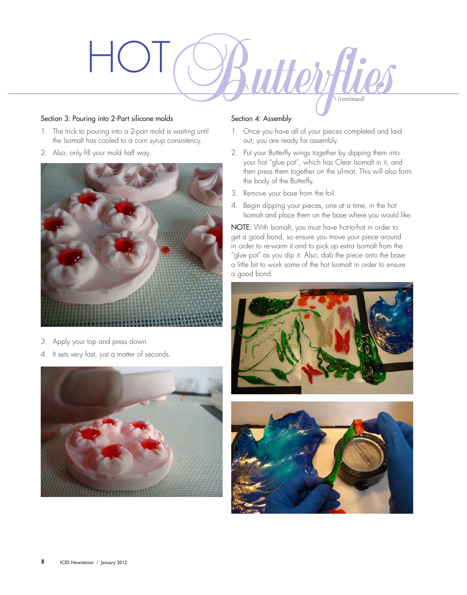

### Section 3: Pouring into 2-Part silicone molds

- 1. The trick to pouring into a 2-part mold is waiting until the Isomalt has cooled to a corn syrup consistency.
- 2. Also, only fill your mold half way.



- 3. Apply your top and press down.
- 4. It sets very fast, just a matter of seconds.



## Section 4: Assembly

- 1. Once you have all of your pieces completed and laid out, you are ready for assembly.
- 2. Put your Butterfly wings together by dipping them into your hot "glue pot", which has Clear Isomalt in it, and then press them together on the sil-mat. This will also form the body of the Butterfly.
- 3. Remove your base from the foil.
- 4. Begin dipping your pieces, one at a time, in the hot Isomalt and place them on the base where you would like.

NOTE: With Isomalt, you must have hot-to-hot in order to get a good bond, so ensure you move your piece around in order to re-warm it and to pick up extra Isomalt from the "glue pot" as you dip it. Also, dab the piece onto the base a little bit to work some of the hot Isomalt in order to ensure a good bond.